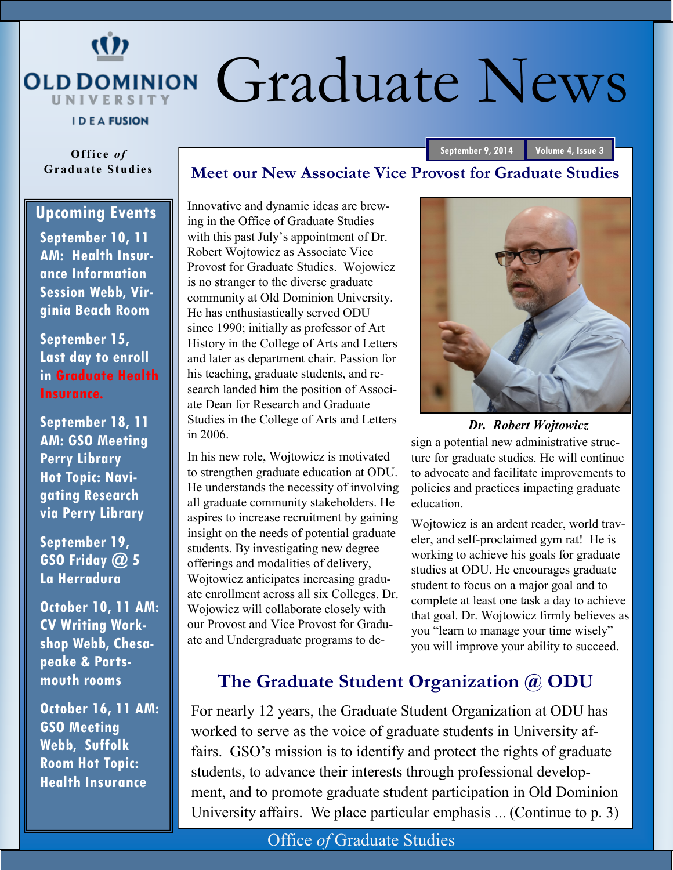# $(1)$ OLD DOMINION Graduate News **UNIVERSITY**

**Meet our New Associate Vice Provost for Graduate Studies**

**IDEA FUSION** 

**Office** of **Grad u ate S tu d ies**

#### **Upcoming Events**

**September 10, 11 AM: Health Insurance Information Session Webb, Virginia Beach Room**

**September 15, Last day to enroll in Graduate Health Insurance.**

**September 18, 11 AM: GSO Meeting Perry Library Hot Topic: Navigating Research via Perry Library**

**September 19, GSO Friday @ 5 La Herradura**

**October 10, 11 AM: CV Writing Workshop Webb, Chesapeake & Portsmouth rooms**

**October 16, 11 AM: GSO Meeting Webb, Suffolk Room Hot Topic: Health Insurance**

Innovative and dynamic ideas are brewing in the Office of Graduate Studies with this past July's appointment of Dr. Robert Wojtowicz as Associate Vice Provost for Graduate Studies. Wojowicz is no stranger to the diverse graduate community at Old Dominion University. He has enthusiastically served ODU since 1990; initially as professor of Art History in the College of Arts and Letters and later as department chair. Passion for his teaching, graduate students, and research landed him the position of Associate Dean for Research and Graduate Studies in the College of Arts and Letters in 2006.

In his new role, Wojtowicz is motivated to strengthen graduate education at ODU. He understands the necessity of involving all graduate community stakeholders. He aspires to increase recruitment by gaining insight on the needs of potential graduate students. By investigating new degree offerings and modalities of delivery, Wojtowicz anticipates increasing graduate enrollment across all six Colleges. Dr. Wojowicz will collaborate closely with our Provost and Vice Provost for Graduate and Undergraduate programs to de-

sign a potential new administrative structure for graduate studies. He will continue to advocate and facilitate improvements to policies and practices impacting graduate education. *Dr. Robert Wojtowicz*

Wojtowicz is an ardent reader, world traveler, and self-proclaimed gym rat! He is working to achieve his goals for graduate studies at ODU. He encourages graduate student to focus on a major goal and to complete at least one task a day to achieve that goal. Dr. Wojtowicz firmly believes as you "learn to manage your time wisely" you will improve your ability to succeed.

#### **The Graduate Student Organization @ ODU**

For nearly 12 years, the Graduate Student Organization at ODU has worked to serve as the voice of graduate students in University affairs. GSO's mission is to identify and protect the rights of graduate students, to advance their interests through professional development, and to promote graduate student participation in Old Dominion University affairs. We place particular emphasis … (Continue to p. 3)



**September 9, 2014 Volume 4, Issue 3**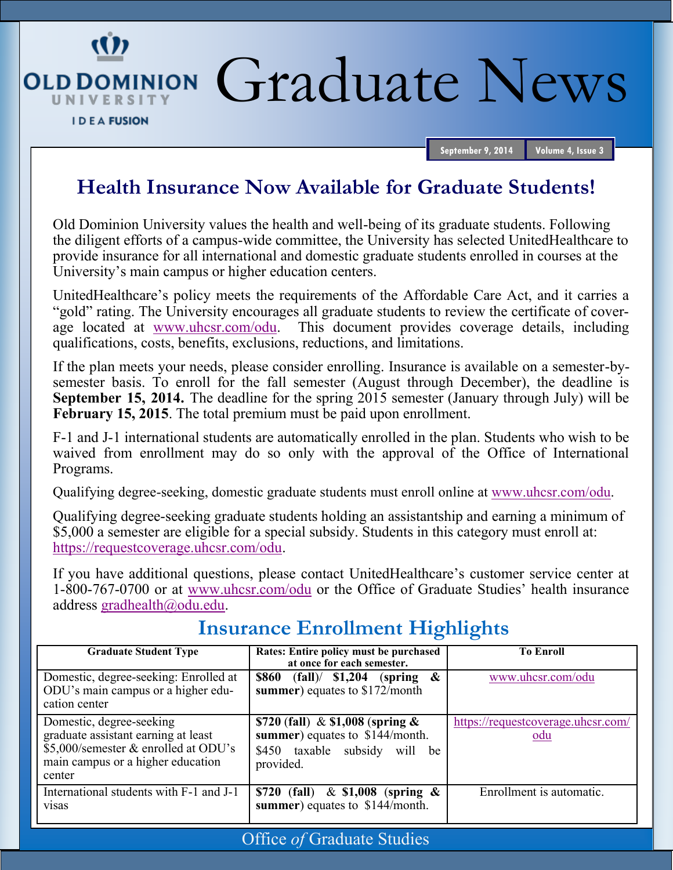OLDDOMINION Graduate News

UNIVERSITY

(I)

**September 9, 2014 Volume 4, Issue 3**

### **Health Insurance Now Available for Graduate Students!**

Old Dominion University values the health and well-being of its graduate students. Following the diligent efforts of a campus-wide committee, the University has selected UnitedHealthcare to provide insurance for all international and domestic graduate students enrolled in courses at the University's main campus or higher education centers.

UnitedHealthcare's policy meets the requirements of the Affordable Care Act, and it carries a "gold" rating. The University encourages all graduate students to review the certificate of coverage located at [www.uhcsr.com/odu.](http://www.uhcsr.com/odu) This document provides coverage details, including qualifications, costs, benefits, exclusions, reductions, and limitations.

If the plan meets your needs, please consider enrolling. Insurance is available on a semester-bysemester basis. To enroll for the fall semester (August through December), the deadline is **September 15, 2014.** The deadline for the spring 2015 semester (January through July) will be **February 15, 2015**. The total premium must be paid upon enrollment.

F-1 and J-1 international students are automatically enrolled in the plan. Students who wish to be waived from enrollment may do so only with the approval of the Office of International Programs.

Qualifying degree-seeking, domestic graduate students must enroll online at [www.uhcsr.com/odu.](http://www.uhcsr.com/odu)

Qualifying degree-seeking graduate students holding an assistantship and earning a minimum of \$5,000 a semester are eligible for a special subsidy. Students in this category must enroll at: [https://requestcoverage.uhcsr.com/odu.](https://requestcoverage.uhcsr.com/odu)

If you have additional questions, please contact UnitedHealthcare's customer service center at 1-800-767-0700 or at [www.uhcsr.com/odu](http://www.uhcsr.com/odu) or the Office of Graduate Studies' health insurance address [gradhealth@odu.edu.](mailto:gradhealth@odu.edu)

## **Insurance Enrollment Highlights**

| <b>Graduate Student Type</b>                                                                                                                           | Rates: Entire policy must be purchased<br>at once for each semester.                                                             | <b>To Enroll</b>                                 |
|--------------------------------------------------------------------------------------------------------------------------------------------------------|----------------------------------------------------------------------------------------------------------------------------------|--------------------------------------------------|
| Domestic, degree-seeking: Enrolled at<br>ODU's main campus or a higher edu-<br>cation center                                                           | $\boldsymbol{\mathcal{X}}$<br>(fall)/ \$1,204<br><b>\$860</b><br>(spring)<br>summer) equates to \$172/month                      | www.uhcsr.com/odu                                |
| Domestic, degree-seeking<br>graduate assistant earning at least<br>\$5,000/semester & enrolled at ODU's<br>main campus or a higher education<br>center | \$720 (fall) $\&$ \$1,008 (spring $\&$<br>summer) equates to \$144/month.<br>taxable subsidy<br>\$450<br>will<br>be<br>provided. | https://requestcoverage.uhcsr.com/<br><u>odu</u> |
| International students with F-1 and J-1<br><b>VISAS</b>                                                                                                | \$720 (fall)<br>$&$ \$1,008 (spring $&$<br>summer) equates to \$144/month.                                                       | Enrollment is automatic.                         |

Office *of* Graduate Studies